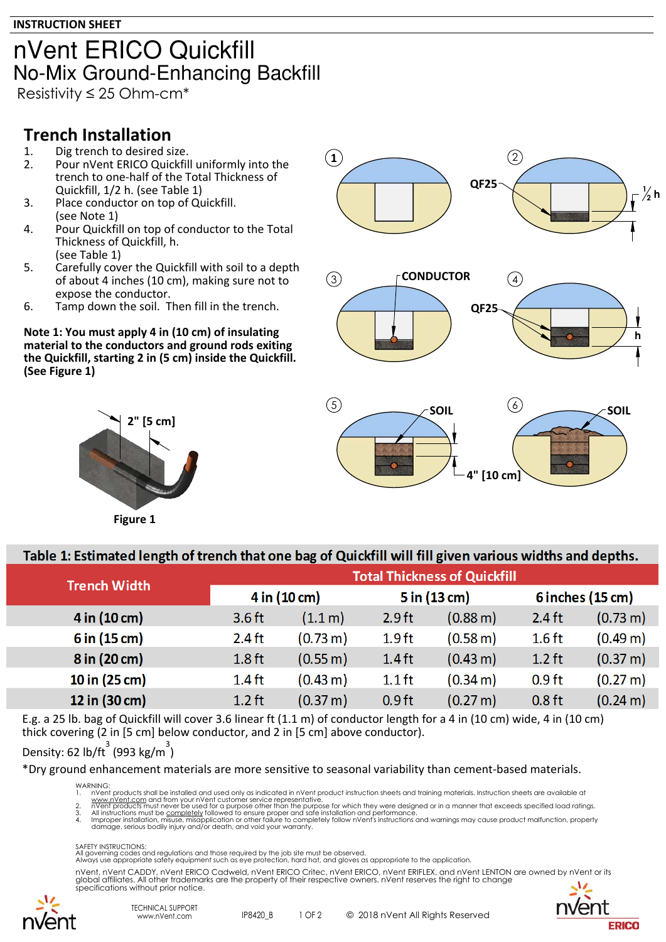### nVent ERICO Quickfill **No-Mix Ground-Enhancing Backfill**

Resistivity ≤ 25 Ohm-cm\*

### **Trench Installation**

- 1. Dig trench to desired size.<br>2. Pour nVent ERICO Quickfil
- Pour nVent ERICO Quickfill uniformly into the trench to one-half of the Total Thickness of Quickfill, 1/2 h. (see Table 1)
- 3. Place conductor on top of Quickfill. (see Note 1)
- 4. Pour Quickfill on top of conductor to the Total Thickness of Quickfill, h. (see Table 1)
- 5. Carefully cover the Quickfill with soil to a depth of about 4 inches (10 cm), making sure not to expose the conductor.
- 6. Tamp down the soil. Then fill in the trench.

**Note 1: You must apply 4 in (10 cm) of insulating material to the conductors and ground rods exiting the Quickfill, starting 2 in (5 cm) inside the Quickfill. (See Figure 1)**





#### Table 1: Estimated length of trench that one bag of Quickfill will fill given various widths and depths.

| <b>Trench Width</b> | <b>Total Thickness of Quickfill</b> |                       |                   |                       |                              |                      |  |  |
|---------------------|-------------------------------------|-----------------------|-------------------|-----------------------|------------------------------|----------------------|--|--|
|                     | $4$ in $(10 \text{ cm})$            |                       | $5$ in $(13$ cm)  |                       | $6$ inches $(15 \text{ cm})$ |                      |  |  |
| 4 in (10 cm)        | $3.6$ ft                            | (1.1 m)               | $2.9$ ft          | $(0.88 \,\mathrm{m})$ | $2.4$ ft                     | $(0.73 \text{ m})$   |  |  |
| $6$ in (15 cm)      | $2.4$ ft                            | $(0.73 \text{ m})$    | 1.9 <sub>ft</sub> | (0.58 m)              | $1.6$ ft                     | (0.49 <sub>m</sub> ) |  |  |
| 8 in (20 cm)        | $1.8$ ft                            | $(0.55 \,\mathrm{m})$ | $1.4$ ft          | $(0.43 \text{ m})$    | $1.2$ ft                     | (0.37 m)             |  |  |
| 10 in (25 cm)       | $1.4$ ft                            | (0.43 m)              | $1.1$ ft          | $(0.34 \text{ m})$    | 0.9 <sub>ft</sub>            | (0.27 m)             |  |  |
| 12 in (30 cm)       | $1.2$ ft                            | $(0.37 \text{ m})$    | 0.9 <sub>ft</sub> | $(0.27 \text{ m})$    | 0.8 <sub>ft</sub>            | $(0.24 \text{ m})$   |  |  |

E.g. a 25 lb. bag of Quickfill will cover 3.6 linear ft (1.1 m) of conductor length for a 4 in (10 cm) wide, 4 in (10 cm) thick covering (2 in [5 cm] below conductor, and 2 in [5 cm] above conductor).

#### Density: 62 lb/ft $3$  (993 kg/m<sup>3</sup>)

\*Dry ground enhancement materials are more sensitive to seasonal variability than cement-based materials.

WARNING:<br>1. nVen

1. In Vent products shall be installed and used only as indicated in nVent product instruction sheets and training materials. Instruction sheets are available at<br>2. Www.nVent.com and from your nVent customer service repres

#### SAFETY INSTRUCTIONS:

All governing codes and regulations and those required by the job site must be observed. Always use appropriate safety equipment such as eye protection, hard hat, and gloves as appropriate to the application.

nVent, nVent CADDY, nVent ERICO Cadweld, nVent ERICO Critec, nVent ERICO, nVent ERIFLEX, and nVent LENTON are owned by nVent or its<br>global affiliates. All other trademarks are the property of their respective owners. nVent specifications without prior notice.



IP8420\_B 1 OF 2 © 2018 nVent All Rights Reserved